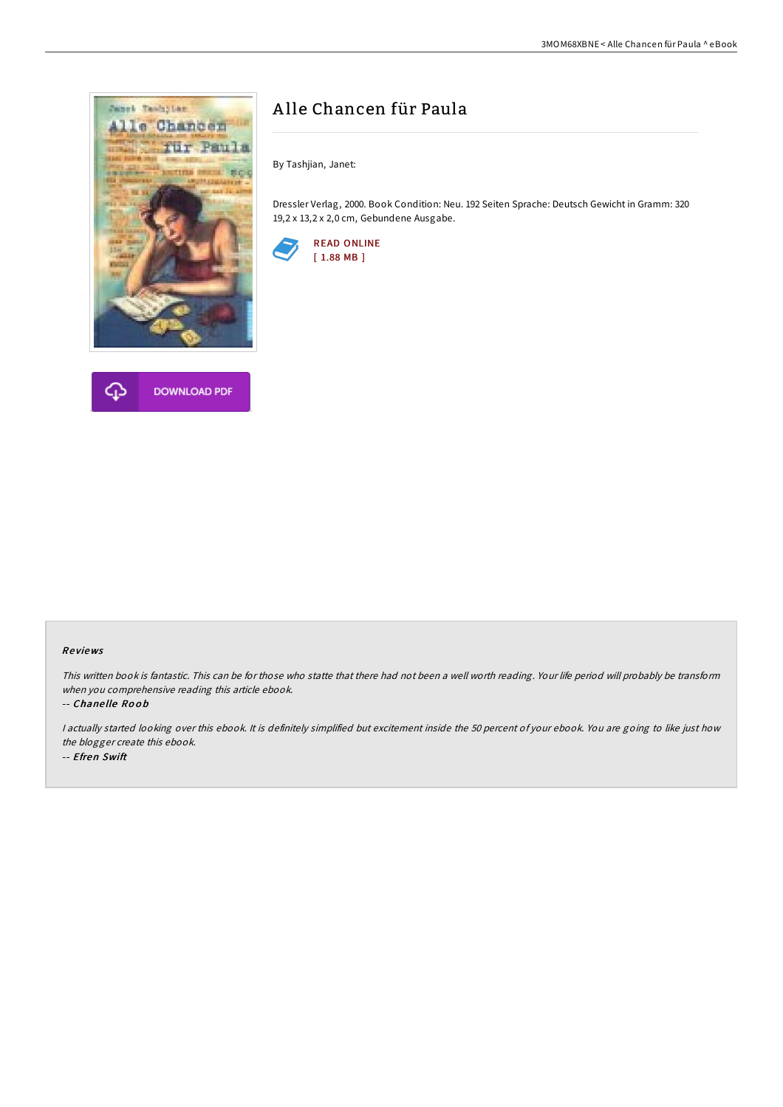



# A lle Chancen für Paula

By Tashjian, Janet:

Dressler Verlag, 2000. Book Condition: Neu. 192 Seiten Sprache: Deutsch Gewicht in Gramm: 320 19,2 x 13,2 x 2,0 cm, Gebundene Ausgabe.



## Re views

This written book is fantastic. This can be for those who statte that there had not been <sup>a</sup> well worth reading. Your life period will probably be transform when you comprehensive reading this article ebook.

#### -- Chane lle Ro o b

I actually started looking over this ebook. It is definitely simplified but excitement inside the 50 percent of your ebook. You are going to like just how the blogger create this ebook. -- Efren Swift